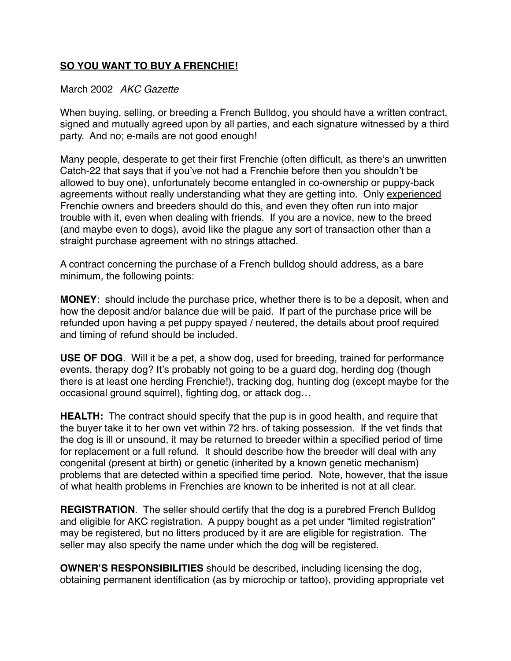## **SO YOU WANT TO BUY A FRENCHIE!**

## March 2002 *AKC Gazette*

When buying, selling, or breeding a French Bulldog, you should have a written contract, signed and mutually agreed upon by all parties, and each signature witnessed by a third party. And no; e-mails are not good enough!

Many people, desperate to get their first Frenchie (often difficult, as there's an unwritten Catch-22 that says that if you've not had a Frenchie before then you shouldn't be allowed to buy one), unfortunately become entangled in co-ownership or puppy-back agreements without really understanding what they are getting into. Only experienced Frenchie owners and breeders should do this, and even they often run into major trouble with it, even when dealing with friends. If you are a novice, new to the breed (and maybe even to dogs), avoid like the plague any sort of transaction other than a straight purchase agreement with no strings attached.

A contract concerning the purchase of a French bulldog should address, as a bare minimum, the following points:

**MONEY**: should include the purchase price, whether there is to be a deposit, when and how the deposit and/or balance due will be paid. If part of the purchase price will be refunded upon having a pet puppy spayed / neutered, the details about proof required and timing of refund should be included.

**USE OF DOG**. Will it be a pet, a show dog, used for breeding, trained for performance events, therapy dog? It's probably not going to be a guard dog, herding dog (though there is at least one herding Frenchie!), tracking dog, hunting dog (except maybe for the occasional ground squirrel), fighting dog, or attack dog…

**HEALTH:** The contract should specify that the pup is in good health, and require that the buyer take it to her own vet within 72 hrs. of taking possession. If the vet finds that the dog is ill or unsound, it may be returned to breeder within a specified period of time for replacement or a full refund. It should describe how the breeder will deal with any congenital (present at birth) or genetic (inherited by a known genetic mechanism) problems that are detected within a specified time period. Note, however, that the issue of what health problems in Frenchies are known to be inherited is not at all clear.

**REGISTRATION**. The seller should certify that the dog is a purebred French Bulldog and eligible for AKC registration. A puppy bought as a pet under "limited registration" may be registered, but no litters produced by it are are eligible for registration. The seller may also specify the name under which the dog will be registered.

**OWNER'S RESPONSIBILITIES** should be described, including licensing the dog, obtaining permanent identification (as by microchip or tattoo), providing appropriate vet